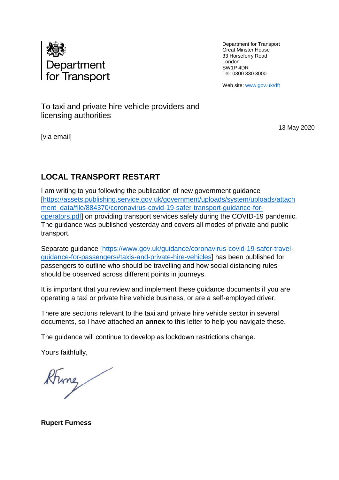

Department for Transport Great Minster House 33 Horseferry Road London SW1P 4DR Tel: 0300 330 3000

Web site[: www.gov.uk/dft](http://www.gov.uk/dft)

To taxi and private hire vehicle providers and licensing authorities

[via email]

13 May 2020

# **LOCAL TRANSPORT RESTART**

I am writing to you following the publication of new government guidance [\[https://assets.publishing.service.gov.uk/government/uploads/system/uploads/attach](https://assets.publishing.service.gov.uk/government/uploads/system/uploads/attachment_data/file/884370/coronavirus-covid-19-safer-transport-guidance-for-operators.pdf) [ment\\_data/file/884370/coronavirus-covid-19-safer-transport-guidance-for](https://assets.publishing.service.gov.uk/government/uploads/system/uploads/attachment_data/file/884370/coronavirus-covid-19-safer-transport-guidance-for-operators.pdf)[operators.pdf\]](https://assets.publishing.service.gov.uk/government/uploads/system/uploads/attachment_data/file/884370/coronavirus-covid-19-safer-transport-guidance-for-operators.pdf) on providing transport services safely during the COVID-19 pandemic. The guidance was published yesterday and covers all modes of private and public transport.

Separate guidance [\[https://www.gov.uk/guidance/coronavirus-covid-19-safer-travel](https://www.gov.uk/guidance/coronavirus-covid-19-safer-travel-guidance-for-passengers#taxis-and-private-hire-vehicles)[guidance-for-passengers#taxis-and-private-hire-vehicles\]](https://www.gov.uk/guidance/coronavirus-covid-19-safer-travel-guidance-for-passengers#taxis-and-private-hire-vehicles) has been published for passengers to outline who should be travelling and how social distancing rules should be observed across different points in journeys.

It is important that you review and implement these guidance documents if you are operating a taxi or private hire vehicle business, or are a self-employed driver.

There are sections relevant to the taxi and private hire vehicle sector in several documents, so I have attached an **annex** to this letter to help you navigate these.

The guidance will continue to develop as lockdown restrictions change.

Yours faithfully,

Rhing

**Rupert Furness**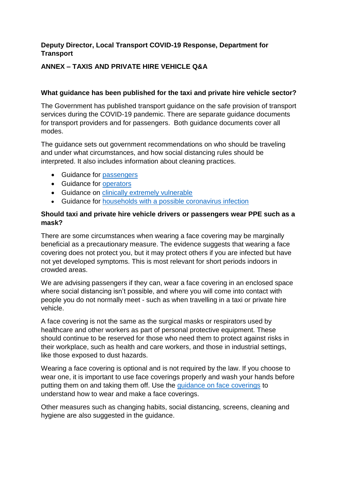## **Deputy Director, Local Transport COVID-19 Response, Department for Transport**

## **ANNEX – TAXIS AND PRIVATE HIRE VEHICLE Q&A**

#### **What guidance has been published for the taxi and private hire vehicle sector?**

The Government has published transport guidance on the safe provision of transport services during the COVID-19 pandemic. There are separate guidance documents for transport providers and for passengers. Both guidance documents cover all modes.

The guidance sets out government recommendations on who should be traveling and under what circumstances, and how social distancing rules should be interpreted. It also includes information about cleaning practices.

- Guidance for [passengers](https://www.gov.uk/guidance/coronavirus-covid-19-safer-travel-guidance-for-passengers#taxis-and-private-hire-vehicles)
- Guidance for [operators](https://assets.publishing.service.gov.uk/government/uploads/system/uploads/attachment_data/file/884370/coronavirus-covid-19-safer-transport-guidance-for-operators.pdf)
- Guidance on [clinically extremely vulnerable](https://www.gov.uk/government/publications/guidance-on-shielding-and-protecting-extremely-vulnerable-persons-from-covid-19/guidance-on-shielding-and-protecting-extremely-vulnerable-persons-from-covid-19)
- Guidance for [households with a possible coronavirus infection](https://www.gov.uk/government/publications/covid-19-stay-at-home-guidance)

#### **Should taxi and private hire vehicle drivers or passengers wear PPE such as a mask?**

There are some circumstances when wearing a face covering may be marginally beneficial as a precautionary measure. The evidence suggests that wearing a face covering does not protect you, but it may protect others if you are infected but have not yet developed symptoms. This is most relevant for short periods indoors in crowded areas.

We are advising passengers if they can, wear a face covering in an enclosed space where social distancing isn't possible, and where you will come into contact with people you do not normally meet - such as when travelling in a taxi or private hire vehicle.

A face covering is not the same as the surgical masks or respirators used by healthcare and other workers as part of personal protective equipment. These should continue to be reserved for those who need them to protect against risks in their workplace, such as health and care workers, and those in industrial settings, like those exposed to dust hazards.

Wearing a face covering is optional and is not required by the law. If you choose to wear one, it is important to use face coverings properly and wash your hands before putting them on and taking them off. Use the [guidance on face coverings](https://www.gov.uk/government/publications/how-to-wear-and-make-a-cloth-face-covering/how-to-wear-and-make-a-cloth-face-covering) to understand how to wear and make a face coverings.

Other measures such as changing habits, social distancing, screens, cleaning and hygiene are also suggested in the guidance.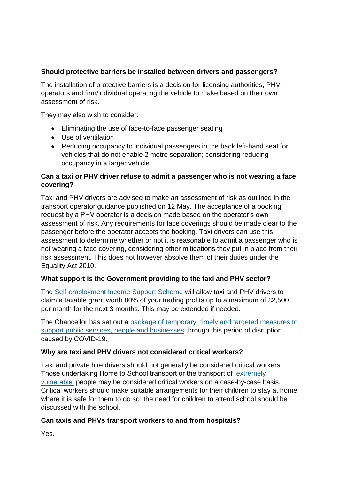## **Should protective barriers be installed between drivers and passengers?**

The installation of protective barriers is a decision for licensing authorities, PHV operators and firm/individual operating the vehicle to make based on their own assessment of risk.

They may also wish to consider:

- Eliminating the use of face-to-face passenger seating
- Use of ventilation
- Reducing occupancy to individual passengers in the back left-hand seat for vehicles that do not enable 2 metre separation; considering reducing occupancy in a larger vehicle

## **Can a taxi or PHV driver refuse to admit a passenger who is not wearing a face covering?**

Taxi and PHV drivers are advised to make an assessment of risk as outlined in the transport operator guidance published on 12 May. The acceptance of a booking request by a PHV operator is a decision made based on the operator's own assessment of risk. Any requirements for face coverings should be made clear to the passenger before the operator accepts the booking. Taxi drivers can use this assessment to determine whether or not it is reasonable to admit a passenger who is not wearing a face covering, considering other mitigations they put in place from their risk assessment. This does not however absolve them of their duties under the Equality Act 2010.

## **What support is the Government providing to the taxi and PHV sector?**

The [Self-employment Income Support Scheme](https://www.gov.uk/guidance/claim-a-grant-through-the-coronavirus-covid-19-self-employment-income-support-scheme) will allow taxi and PHV drivers to claim a taxable grant worth 80% of your trading profits up to a maximum of £2,500 per month for the next 3 months. This may be extended if needed.

The Chancellor has set out a [package of temporary, timely and targeted measures to](https://www.gov.uk/government/publications/guidance-to-employers-and-businesses-about-covid-19/covid-19-support-for-businesses)  [support public services, people and businesses](https://www.gov.uk/government/publications/guidance-to-employers-and-businesses-about-covid-19/covid-19-support-for-businesses) through this period of disruption caused by COVID-19.

## **Why are taxi and PHV drivers not considered critical workers?**

Taxi and private hire drivers should not generally be considered critical workers. Those undertaking Home to School transport or the transport of ['extremely](https://www.gov.uk/government/news/major-new-measures-to-protect-people-at-highest-risk-from-coronavirus)  [vulnerable'](https://www.gov.uk/government/news/major-new-measures-to-protect-people-at-highest-risk-from-coronavirus) people may be considered critical workers on a case-by-case basis. Critical workers should make suitable arrangements for their children to stay at home where it is safe for them to do so; the need for children to attend school should be discussed with the school.

## **Can taxis and PHVs transport workers to and from hospitals?**

Yes.